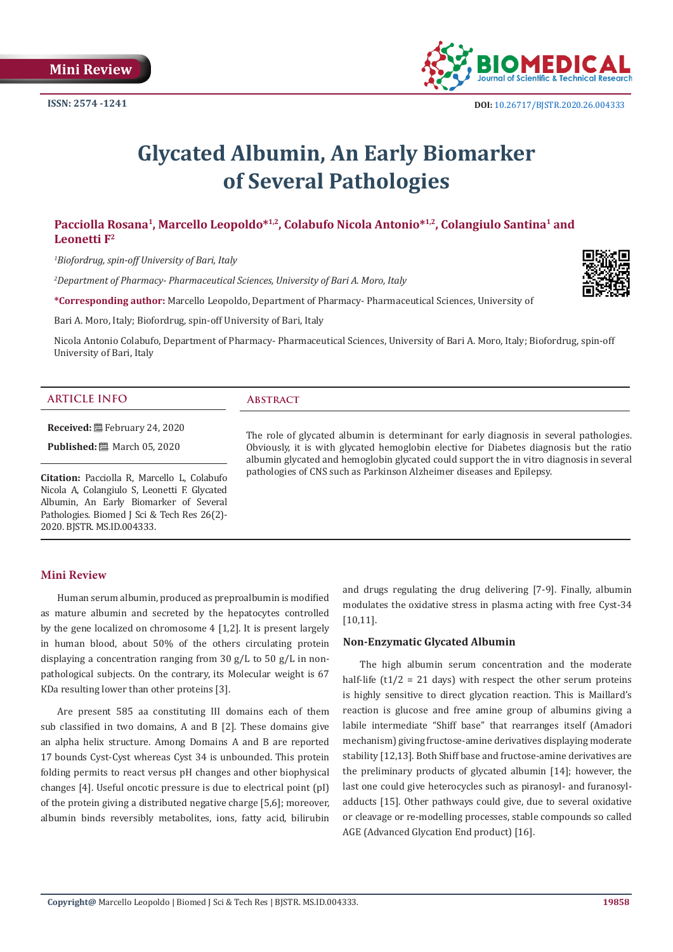

# **Glycated Albumin, An Early Biomarker of Several Pathologies**

# Pacciolla Rosana<sup>1</sup>, Marcello Leopoldo<sup>\*1,2</sup>, Colabufo Nicola Antonio<sup>\*1,2</sup>, Colangiulo Santina<sup>1</sup> and **Leonetti F2**

*1 Biofordrug, spin-off University of Bari, Italy*

*2 Department of Pharmacy- Pharmaceutical Sciences, University of Bari A. Moro, Italy*

**\*Corresponding author:** Marcello Leopoldo, Department of Pharmacy- Pharmaceutical Sciences, University of

Bari A. Moro, Italy; Biofordrug, spin-off University of Bari, Italy

Nicola Antonio Colabufo, Department of Pharmacy- Pharmaceutical Sciences, University of Bari A. Moro, Italy; Biofordrug, spin-off University of Bari, Italy

#### **ARTICLE INFO Abstract**

**Received:** February 24, 2020

**Published:** ■ March 05, 2020

**Citation:** Pacciolla R, Marcello L, Colabufo Nicola A, Colangiulo S, Leonetti F. Glycated Albumin, An Early Biomarker of Several Pathologies. Biomed J Sci & Tech Res 26(2)-2020. BJSTR. MS.ID.004333.

## **Mini Review**

Human serum albumin, produced as preproalbumin is modified as mature albumin and secreted by the hepatocytes controlled by the gene localized on chromosome 4 [1,2]. It is present largely in human blood, about 50% of the others circulating protein displaying a concentration ranging from 30 g/L to 50 g/L in nonpathological subjects. On the contrary, its Molecular weight is 67 KDa resulting lower than other proteins [3].

Are present 585 aa constituting III domains each of them sub classified in two domains, A and B [2]. These domains give an alpha helix structure. Among Domains A and B are reported 17 bounds Cyst-Cyst whereas Cyst 34 is unbounded. This protein folding permits to react versus pH changes and other biophysical changes [4]. Useful oncotic pressure is due to electrical point (pI) of the protein giving a distributed negative charge [5,6]; moreover, albumin binds reversibly metabolites, ions, fatty acid, bilirubin

and drugs regulating the drug delivering [7-9]. Finally, albumin modulates the oxidative stress in plasma acting with free Cyst-34 [10,11].

#### **Non-Enzymatic Glycated Albumin**

The role of glycated albumin is determinant for early diagnosis in several pathologies. Obviously, it is with glycated hemoglobin elective for Diabetes diagnosis but the ratio albumin glycated and hemoglobin glycated could support the in vitro diagnosis in several

pathologies of CNS such as Parkinson Alzheimer diseases and Epilepsy.

The high albumin serum concentration and the moderate half-life  $(t1/2 = 21$  days) with respect the other serum proteins is highly sensitive to direct glycation reaction. This is Maillard's reaction is glucose and free amine group of albumins giving a labile intermediate "Shiff base" that rearranges itself (Amadori mechanism) giving fructose-amine derivatives displaying moderate stability [12,13]. Both Shiff base and fructose-amine derivatives are the preliminary products of glycated albumin [14]; however, the last one could give heterocycles such as piranosyl- and furanosyladducts [15]. Other pathways could give, due to several oxidative or cleavage or re-modelling processes, stable compounds so called AGE (Advanced Glycation End product) [16].

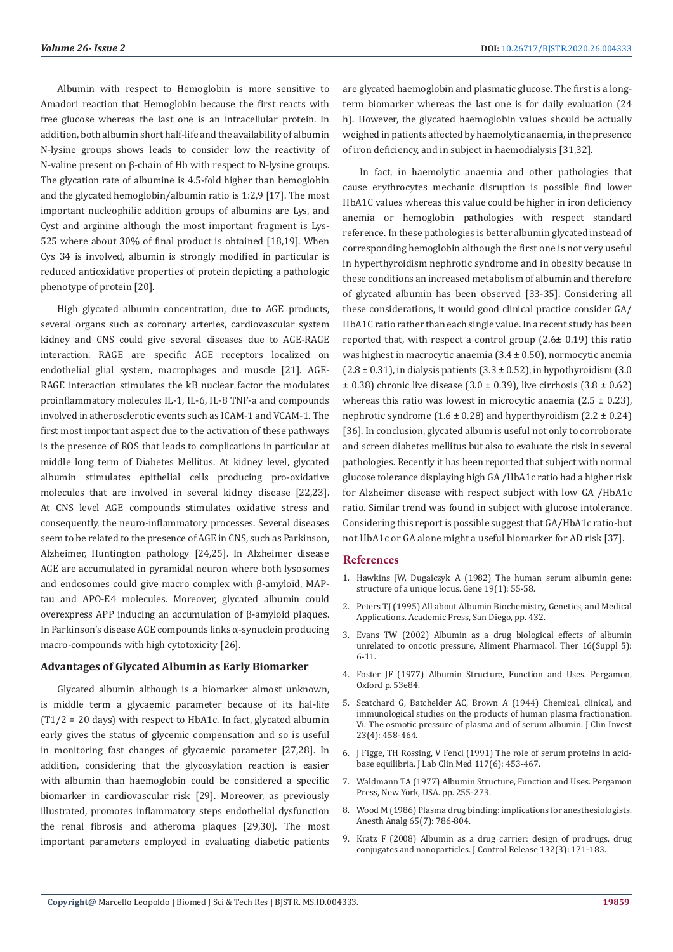Albumin with respect to Hemoglobin is more sensitive to Amadori reaction that Hemoglobin because the first reacts with free glucose whereas the last one is an intracellular protein. In addition, both albumin short half-life and the availability of albumin N-lysine groups shows leads to consider low the reactivity of N-valine present on β-chain of Hb with respect to N-lysine groups. The glycation rate of albumine is 4.5-fold higher than hemoglobin and the glycated hemoglobin/albumin ratio is 1:2,9 [17]. The most important nucleophilic addition groups of albumins are Lys, and Cyst and arginine although the most important fragment is Lys-525 where about 30% of final product is obtained [18,19]. When Cys 34 is involved, albumin is strongly modified in particular is reduced antioxidative properties of protein depicting a pathologic phenotype of protein [20].

High glycated albumin concentration, due to AGE products, several organs such as coronary arteries, cardiovascular system kidney and CNS could give several diseases due to AGE-RAGE interaction. RAGE are specific AGE receptors localized on endothelial glial system, macrophages and muscle [21]. AGE-RAGE interaction stimulates the kB nuclear factor the modulates proinflammatory molecules IL-1, IL-6, IL-8 TNF-a and compounds involved in atherosclerotic events such as ICAM-1 and VCAM-1. The first most important aspect due to the activation of these pathways is the presence of ROS that leads to complications in particular at middle long term of Diabetes Mellitus. At kidney level, glycated albumin stimulates epithelial cells producing pro-oxidative molecules that are involved in several kidney disease [22,23]. At CNS level AGE compounds stimulates oxidative stress and consequently, the neuro-inflammatory processes. Several diseases seem to be related to the presence of AGE in CNS, such as Parkinson, Alzheimer, Huntington pathology [24,25]. In Alzheimer disease AGE are accumulated in pyramidal neuron where both lysosomes and endosomes could give macro complex with β-amyloid, MAPtau and APO-E4 molecules. Moreover, glycated albumin could overexpress APP inducing an accumulation of β-amyloid plaques. In Parkinson's disease AGE compounds links α-synuclein producing macro-compounds with high cytotoxicity [26].

#### **Advantages of Glycated Albumin as Early Biomarker**

Glycated albumin although is a biomarker almost unknown, is middle term a glycaemic parameter because of its hal-life  $(T1/2 = 20$  days) with respect to HbA1c. In fact, glycated albumin early gives the status of glycemic compensation and so is useful in monitoring fast changes of glycaemic parameter [27,28]. In addition, considering that the glycosylation reaction is easier with albumin than haemoglobin could be considered a specific biomarker in cardiovascular risk [29]. Moreover, as previously illustrated, promotes inflammatory steps endothelial dysfunction the renal fibrosis and atheroma plaques [29,30]. The most important parameters employed in evaluating diabetic patients

are glycated haemoglobin and plasmatic glucose. The first is a longterm biomarker whereas the last one is for daily evaluation (24 h). However, the glycated haemoglobin values should be actually weighed in patients affected by haemolytic anaemia, in the presence of iron deficiency, and in subject in haemodialysis [31,32].

In fact, in haemolytic anaemia and other pathologies that cause erythrocytes mechanic disruption is possible find lower HbA1C values whereas this value could be higher in iron deficiency anemia or hemoglobin pathologies with respect standard reference. In these pathologies is better albumin glycated instead of corresponding hemoglobin although the first one is not very useful in hyperthyroidism nephrotic syndrome and in obesity because in these conditions an increased metabolism of albumin and therefore of glycated albumin has been observed [33-35]. Considering all these considerations, it would good clinical practice consider GA/ HbA1C ratio rather than each single value. In a recent study has been reported that, with respect a control group (2.6± 0.19) this ratio was highest in macrocytic anaemia  $(3.4 \pm 0.50)$ , normocytic anemia  $(2.8 \pm 0.31)$ , in dialysis patients  $(3.3 \pm 0.52)$ , in hypothyroidism  $(3.0 \pm 0.31)$  $\pm$  0.38) chronic live disease (3.0  $\pm$  0.39), live cirrhosis (3.8  $\pm$  0.62) whereas this ratio was lowest in microcytic anaemia  $(2.5 \pm 0.23)$ , nephrotic syndrome  $(1.6 \pm 0.28)$  and hyperthyroidism  $(2.2 \pm 0.24)$ [36]. In conclusion, glycated album is useful not only to corroborate and screen diabetes mellitus but also to evaluate the risk in several pathologies. Recently it has been reported that subject with normal glucose tolerance displaying high GA /HbA1c ratio had a higher risk for Alzheimer disease with respect subject with low GA /HbA1c ratio. Similar trend was found in subject with glucose intolerance. Considering this report is possible suggest that GA/HbA1c ratio-but not HbA1c or GA alone might a useful biomarker for AD risk [37].

### **References**

- 1. [Hawkins JW, Dugaiczyk A \(1982\) The human serum albumin gene:](https://www.sciencedirect.com/science/article/abs/pii/0378111982901883) [structure of a unique locus. Gene 19\(1\): 55-58.](https://www.sciencedirect.com/science/article/abs/pii/0378111982901883)
- 2. Peters TJ (1995) All about Albumin Biochemistry, Genetics, and Medical Applications. Academic Press, San Diego, pp. 432.
- 3. [Evans TW \(2002\) Albumin as a drug biological effects of albumin](https://onlinelibrary.wiley.com/doi/pdf/10.1046/j.1365-2036.16.s5.2.x) [unrelated to oncotic pressure, Aliment Pharmacol. Ther 16\(Suppl 5\):](https://onlinelibrary.wiley.com/doi/pdf/10.1046/j.1365-2036.16.s5.2.x) [6-11.](https://onlinelibrary.wiley.com/doi/pdf/10.1046/j.1365-2036.16.s5.2.x)
- 4. [Foster JF \(1977\) Albumin Structure, Function and Uses. Pergamon,](https://www.sciencedirect.com/book/9780080196039/albumin-structure-function-and-uses) [Oxford p. 53e84.](https://www.sciencedirect.com/book/9780080196039/albumin-structure-function-and-uses)
- 5. [Scatchard G, Batchelder AC, Brown A \(1944\) Chemical, clinical, and](https://www.ncbi.nlm.nih.gov/pmc/articles/PMC435362/) [immunological studies on the products of human plasma fractionation.](https://www.ncbi.nlm.nih.gov/pmc/articles/PMC435362/) [Vi. The osmotic pressure of plasma and of serum albumin. J Clin Invest](https://www.ncbi.nlm.nih.gov/pmc/articles/PMC435362/) [23\(4\): 458-464.](https://www.ncbi.nlm.nih.gov/pmc/articles/PMC435362/)
- 6. [J Figge, TH Rossing, V Fencl \(1991\) The role of serum proteins in acid](https://pubmed.ncbi.nlm.nih.gov/2045713-the-role-of-serum-proteins-in-acid-base-equilibria/)[base equilibria. J Lab Clin Med 117\(6\): 453-467.](https://pubmed.ncbi.nlm.nih.gov/2045713-the-role-of-serum-proteins-in-acid-base-equilibria/)
- 7. [Waldmann TA \(1977\) Albumin Structure, Function and Uses. Pergamon](https://www.sciencedirect.com/book/9780080196039/albumin-structure-function-and-uses) [Press, New York, USA. pp. 255-273.](https://www.sciencedirect.com/book/9780080196039/albumin-structure-function-and-uses)
- 8. [Wood M \(1986\) Plasma drug binding: implications for anesthesiologists.](https://journals.lww.com/anesthesia-analgesia/Citation/1986/07000/Plasma_Drug_Binding__Implications_for.15.aspx) [Anesth Analg 65\(7\): 786-804.](https://journals.lww.com/anesthesia-analgesia/Citation/1986/07000/Plasma_Drug_Binding__Implications_for.15.aspx)
- 9. [Kratz F \(2008\) Albumin as a drug carrier: design of prodrugs, drug](https://pubmed.ncbi.nlm.nih.gov/18582981-albumin-as-a-drug-carrier-design-of-prodrugs-drug-conjugates-and-nanoparticles/) [conjugates and nanoparticles. J Control Release 132\(3\): 171-183.](https://pubmed.ncbi.nlm.nih.gov/18582981-albumin-as-a-drug-carrier-design-of-prodrugs-drug-conjugates-and-nanoparticles/)